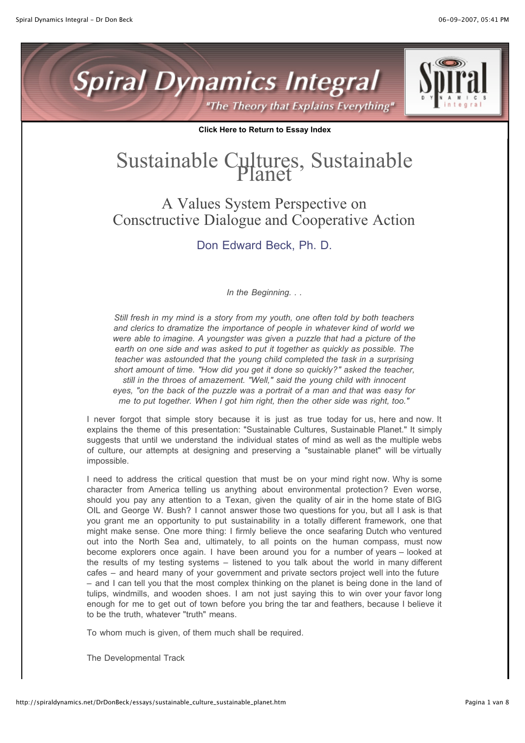



**Click Here to Return to Essay Index**

# Sustainable Cultures, Sustainable

## A Values System Perspective on Consctructive Dialogue and Cooperative Action

### Don Edward Beck, Ph. D.

*In the Beginning. . .*

*Still fresh in my mind is a story from my youth, one often told by both teachers and clerics to dramatize the importance of people in whatever kind of world we were able to imagine. A youngster was given a puzzle that had a picture of the earth on one side and was asked to put it together as quickly as possible. The teacher was astounded that the young child completed the task in a surprising short amount of time. "How did you get it done so quickly?" asked the teacher, still in the throes of amazement. "Well," said the young child with innocent eyes, "on the back of the puzzle was a portrait of a man and that was easy for me to put together. When I got him right, then the other side was right, too."*

I never forgot that simple story because it is just as true today for us, here and now. It explains the theme of this presentation: "Sustainable Cultures, Sustainable Planet." It simply suggests that until we understand the individual states of mind as well as the multiple webs of culture, our attempts at designing and preserving a "sustainable planet" will be virtually impossible.

I need to address the critical question that must be on your mind right now. Why is some character from America telling us anything about environmental protection? Even worse, should you pay any attention to a Texan, given the quality of air in the home state of BIG OIL and George W. Bush? I cannot answer those two questions for you, but all I ask is that you grant me an opportunity to put sustainability in a totally different framework, one that might make sense. One more thing: I firmly believe the once seafaring Dutch who ventured out into the North Sea and, ultimately, to all points on the human compass, must now become explorers once again. I have been around you for a number of years – looked at the results of my testing systems – listened to you talk about the world in many different cafes – and heard many of your government and private sectors project well into the future – and I can tell you that the most complex thinking on the planet is being done in the land of tulips, windmills, and wooden shoes. I am not just saying this to win over your favor long enough for me to get out of town before you bring the tar and feathers, because I believe it to be the truth, whatever "truth" means.

To whom much is given, of them much shall be required.

The Developmental Track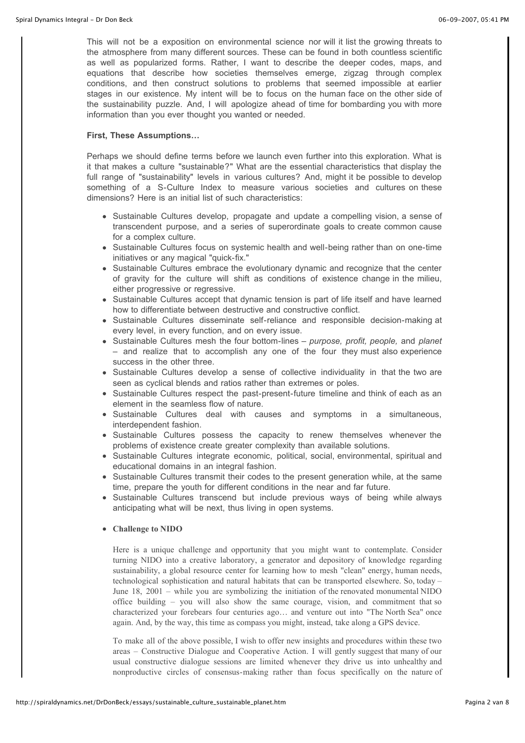This will not be a exposition on environmental science nor will it list the growing threats to the atmosphere from many different sources. These can be found in both countless scientific as well as popularized forms. Rather, I want to describe the deeper codes, maps, and equations that describe how societies themselves emerge, zigzag through complex conditions, and then construct solutions to problems that seemed impossible at earlier stages in our existence. My intent will be to focus on the human face on the other side of the sustainability puzzle. And, I will apologize ahead of time for bombarding you with more information than you ever thought you wanted or needed.

#### **First, These Assumptions…**

Perhaps we should define terms before we launch even further into this exploration. What is it that makes a culture "sustainable?" What are the essential characteristics that display the full range of "sustainability" levels in various cultures? And, might it be possible to develop something of a S-Culture Index to measure various societies and cultures on these dimensions? Here is an initial list of such characteristics:

- Sustainable Cultures develop, propagate and update a compelling vision, a sense of transcendent purpose, and a series of superordinate goals to create common cause for a complex culture.
- Sustainable Cultures focus on systemic health and well-being rather than on one-time initiatives or any magical "quick-fix."
- Sustainable Cultures embrace the evolutionary dynamic and recognize that the center of gravity for the culture will shift as conditions of existence change in the milieu, either progressive or regressive.
- Sustainable Cultures accept that dynamic tension is part of life itself and have learned how to differentiate between destructive and constructive conflict.
- Sustainable Cultures disseminate self-reliance and responsible decision-making at every level, in every function, and on every issue.
- Sustainable Cultures mesh the four bottom-lines *purpose, profit, people,* and *planet* – and realize that to accomplish any one of the four they must also experience success in the other three.
- Sustainable Cultures develop a sense of collective individuality in that the two are seen as cyclical blends and ratios rather than extremes or poles.
- Sustainable Cultures respect the past-present-future timeline and think of each as an element in the seamless flow of nature.
- Sustainable Cultures deal with causes and symptoms in a simultaneous, interdependent fashion.
- Sustainable Cultures possess the capacity to renew themselves whenever the problems of existence create greater complexity than available solutions.
- Sustainable Cultures integrate economic, political, social, environmental, spiritual and educational domains in an integral fashion.
- Sustainable Cultures transmit their codes to the present generation while, at the same time, prepare the youth for different conditions in the near and far future.
- Sustainable Cultures transcend but include previous ways of being while always anticipating what will be next, thus living in open systems.

#### **Challenge to NIDO**

Here is a unique challenge and opportunity that you might want to contemplate. Consider turning NIDO into a creative laboratory, a generator and depository of knowledge regarding sustainability, a global resource center for learning how to mesh "clean" energy, human needs, technological sophistication and natural habitats that can be transported elsewhere. So, today – June 18, 2001 – while you are symbolizing the initiation of the renovated monumental NIDO office building – you will also show the same courage, vision, and commitment that so characterized your forebears four centuries ago… and venture out into "The North Sea" once again. And, by the way, this time as compass you might, instead, take along a GPS device.

To make all of the above possible, I wish to offer new insights and procedures within these two areas – Constructive Dialogue and Cooperative Action. I will gently suggest that many of our usual constructive dialogue sessions are limited whenever they drive us into unhealthy and nonproductive circles of consensus-making rather than focus specifically on the nature of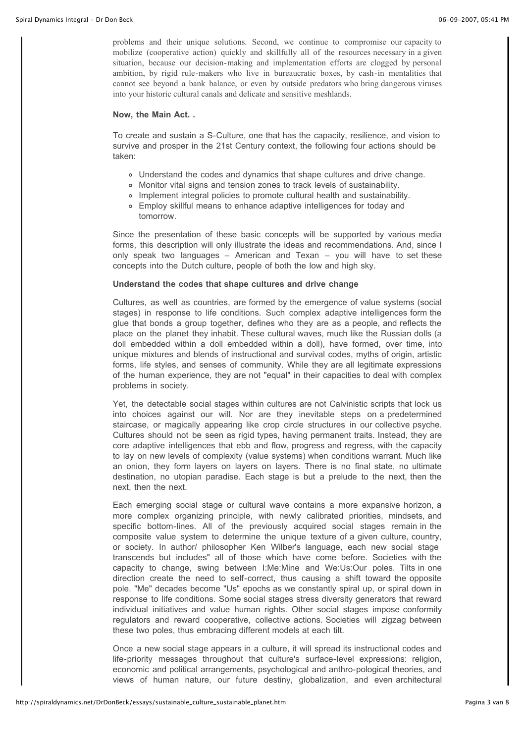problems and their unique solutions. Second, we continue to compromise our capacity to mobilize (cooperative action) quickly and skillfully all of the resources necessary in a given situation, because our decision-making and implementation efforts are clogged by personal ambition, by rigid rule-makers who live in bureaucratic boxes, by cash-in mentalities that cannot see beyond a bank balance, or even by outside predators who bring dangerous viruses into your historic cultural canals and delicate and sensitive meshlands.

#### **Now, the Main Act. .**

To create and sustain a S-Culture, one that has the capacity, resilience, and vision to survive and prosper in the 21st Century context, the following four actions should be taken:

- Understand the codes and dynamics that shape cultures and drive change.
- Monitor vital signs and tension zones to track levels of sustainability.
- Implement integral policies to promote cultural health and sustainability.
- Employ skillful means to enhance adaptive intelligences for today and tomorrow.

Since the presentation of these basic concepts will be supported by various media forms, this description will only illustrate the ideas and recommendations. And, since I only speak two languages – American and Texan – you will have to set these concepts into the Dutch culture, people of both the low and high sky.

#### **Understand the codes that shape cultures and drive change**

Cultures, as well as countries, are formed by the emergence of value systems (social stages) in response to life conditions. Such complex adaptive intelligences form the glue that bonds a group together, defines who they are as a people, and reflects the place on the planet they inhabit. These cultural waves, much like the Russian dolls (a doll embedded within a doll embedded within a doll), have formed, over time, into unique mixtures and blends of instructional and survival codes, myths of origin, artistic forms, life styles, and senses of community. While they are all legitimate expressions of the human experience, they are not "equal" in their capacities to deal with complex problems in society.

Yet, the detectable social stages within cultures are not Calvinistic scripts that lock us into choices against our will. Nor are they inevitable steps on a predetermined staircase, or magically appearing like crop circle structures in our collective psyche. Cultures should not be seen as rigid types, having permanent traits. Instead, they are core adaptive intelligences that ebb and flow, progress and regress, with the capacity to lay on new levels of complexity (value systems) when conditions warrant. Much like an onion, they form layers on layers on layers. There is no final state, no ultimate destination, no utopian paradise. Each stage is but a prelude to the next, then the next, then the next.

Each emerging social stage or cultural wave contains a more expansive horizon, a more complex organizing principle, with newly calibrated priorities, mindsets, and specific bottom-lines. All of the previously acquired social stages remain in the composite value system to determine the unique texture of a given culture, country, or society. In author/ philosopher Ken Wilber's language, each new social stage transcends but includes" all of those which have come before. Societies with the capacity to change, swing between I:Me:Mine and We:Us:Our poles. Tilts in one direction create the need to self-correct, thus causing a shift toward the opposite pole. "Me" decades become "Us" epochs as we constantly spiral up, or spiral down in response to life conditions. Some social stages stress diversity generators that reward individual initiatives and value human rights. Other social stages impose conformity regulators and reward cooperative, collective actions. Societies will zigzag between these two poles, thus embracing different models at each tilt.

Once a new social stage appears in a culture, it will spread its instructional codes and life-priority messages throughout that culture's surface-level expressions: religion, economic and political arrangements, psychological and anthro-pological theories, and views of human nature, our future destiny, globalization, and even architectural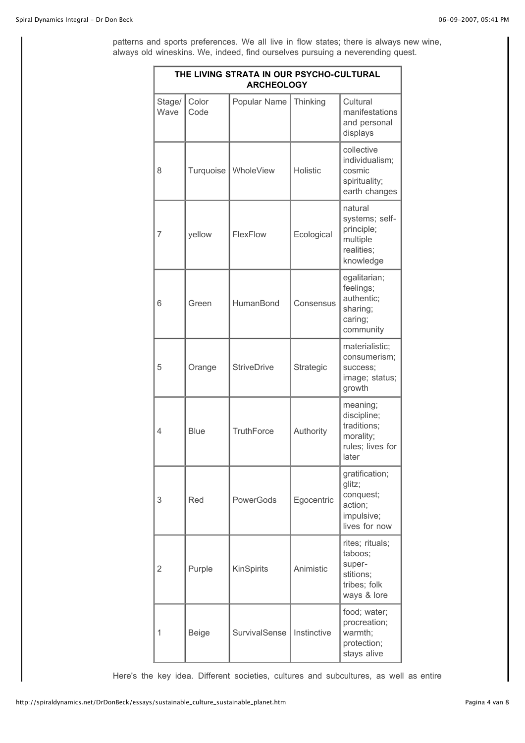patterns and sports preferences. We all live in flow states; there is always new wine, always old wineskins. We, indeed, find ourselves pursuing a neverending quest.

| THE LIVING STRATA IN OUR PSYCHO-CULTURAL<br><b>ARCHEOLOGY</b> |               |                      |                 |                                                                                  |
|---------------------------------------------------------------|---------------|----------------------|-----------------|----------------------------------------------------------------------------------|
| Stage/<br>Wave                                                | Color<br>Code | Popular Name         | Thinking        | Cultural<br>manifestations<br>and personal<br>displays                           |
| 8                                                             | Turquoise     | WholeView            | <b>Holistic</b> | collective<br>individualism;<br>cosmic<br>spirituality;<br>earth changes         |
| 7                                                             | yellow        | FlexFlow             | Ecological      | natural<br>systems; self-<br>principle;<br>multiple<br>realities:<br>knowledge   |
| 6                                                             | Green         | <b>HumanBond</b>     | Consensus       | egalitarian;<br>feelings;<br>authentic;<br>sharing;<br>caring;<br>community      |
| 5                                                             | Orange        | <b>StriveDrive</b>   | Strategic       | materialistic;<br>consumerism;<br>success:<br>image; status;<br>growth           |
| 4                                                             | <b>Blue</b>   | <b>TruthForce</b>    | Authority       | meaning;<br>discipline;<br>traditions;<br>morality;<br>rules; lives for<br>later |
| 3                                                             | Red           | PowerGods            | Egocentric      | gratification;<br>glitz;<br>conquest;<br>action;<br>impulsive;<br>lives for now  |
| 2                                                             | Purple        | KinSpirits           | Animistic       | rites; rituals;<br>taboos;<br>super-<br>stitions;<br>tribes; folk<br>ways & lore |
| 1                                                             | <b>Beige</b>  | <b>SurvivalSense</b> | Instinctive     | food; water;<br>procreation;<br>warmth;<br>protection;<br>stays alive            |

Here's the key idea. Different societies, cultures and subcultures, as well as entire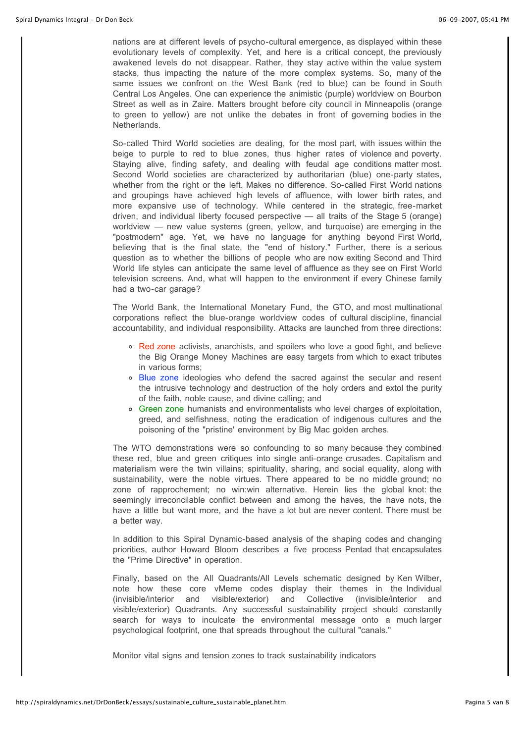nations are at different levels of psycho-cultural emergence, as displayed within these evolutionary levels of complexity. Yet, and here is a critical concept, the previously awakened levels do not disappear. Rather, they stay active within the value system stacks, thus impacting the nature of the more complex systems. So, many of the same issues we confront on the West Bank (red to blue) can be found in South Central Los Angeles. One can experience the animistic (purple) worldview on Bourbon Street as well as in Zaire. Matters brought before city council in Minneapolis (orange to green to yellow) are not unlike the debates in front of governing bodies in the Netherlands.

So-called Third World societies are dealing, for the most part, with issues within the beige to purple to red to blue zones, thus higher rates of violence and poverty. Staying alive, finding safety, and dealing with feudal age conditions matter most. Second World societies are characterized by authoritarian (blue) one-party states, whether from the right or the left. Makes no difference. So-called First World nations and groupings have achieved high levels of affluence, with lower birth rates, and more expansive use of technology. While centered in the strategic, free-market driven, and individual liberty focused perspective — all traits of the Stage 5 (orange) worldview — new value systems (green, yellow, and turquoise) are emerging in the "postmodern" age. Yet, we have no language for anything beyond First World, believing that is the final state, the "end of history." Further, there is a serious question as to whether the billions of people who are now exiting Second and Third World life styles can anticipate the same level of affluence as they see on First World television screens. And, what will happen to the environment if every Chinese family had a two-car garage?

The World Bank, the International Monetary Fund, the GTO, and most multinational corporations reflect the blue-orange worldview codes of cultural discipline, financial accountability, and individual responsibility. Attacks are launched from three directions:

- Red zone activists, anarchists, and spoilers who love a good fight, and believe the Big Orange Money Machines are easy targets from which to exact tributes in various forms;
- Blue zone ideologies who defend the sacred against the secular and resent the intrusive technology and destruction of the holy orders and extol the purity of the faith, noble cause, and divine calling; and
- Green zone humanists and environmentalists who level charges of exploitation, greed, and selfishness, noting the eradication of indigenous cultures and the poisoning of the "pristine' environment by Big Mac golden arches.

The WTO demonstrations were so confounding to so many because they combined these red, blue and green critiques into single anti-orange crusades. Capitalism and materialism were the twin villains; spirituality, sharing, and social equality, along with sustainability, were the noble virtues. There appeared to be no middle ground; no zone of rapprochement; no win:win alternative. Herein lies the global knot: the seemingly irreconcilable conflict between and among the haves, the have nots, the have a little but want more, and the have a lot but are never content. There must be a better way.

In addition to this Spiral Dynamic-based analysis of the shaping codes and changing priorities, author Howard Bloom describes a five process Pentad that encapsulates the "Prime Directive" in operation.

Finally, based on the All Quadrants/All Levels schematic designed by Ken Wilber, note how these core vMeme codes display their themes in the Individual (invisible/interior and visible/exterior) and Collective (invisible/interior and visible/exterior) Quadrants. Any successful sustainability project should constantly search for ways to inculcate the environmental message onto a much larger psychological footprint, one that spreads throughout the cultural "canals."

Monitor vital signs and tension zones to track sustainability indicators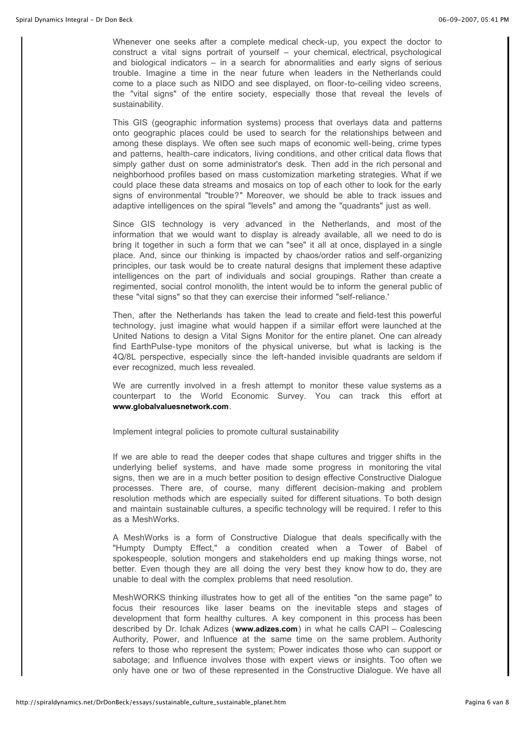Whenever one seeks after a complete medical check-up, you expect the doctor to construct a vital signs portrait of yourself – your chemical, electrical, psychological and biological indicators – in a search for abnormalities and early signs of serious trouble. Imagine a time in the near future when leaders in the Netherlands could come to a place such as NIDO and see displayed, on floor-to-ceiling video screens, the "vital signs" of the entire society, especially those that reveal the levels of sustainability.

This GIS (geographic information systems) process that overlays data and patterns onto geographic places could be used to search for the relationships between and among these displays. We often see such maps of economic well-being, crime types and patterns, health-care indicators, living conditions, and other critical data flows that simply gather dust on some administrator's desk. Then add in the rich personal and neighborhood profiles based on mass customization marketing strategies. What if we could place these data streams and mosaics on top of each other to look for the early signs of environmental "trouble?" Moreover, we should be able to track issues and adaptive intelligences on the spiral "levels" and among the "quadrants" just as well.

Since GIS technology is very advanced in the Netherlands, and most of the information that we would want to display is already available, all we need to do is bring it together in such a form that we can "see" it all at once, displayed in a single place. And, since our thinking is impacted by chaos/order ratios and self-organizing principles, our task would be to create natural designs that implement these adaptive intelligences on the part of individuals and social groupings. Rather than create a regimented, social control monolith, the intent would be to inform the general public of these "vital signs" so that they can exercise their informed "self-reliance.'

Then, after the Netherlands has taken the lead to create and field-test this powerful technology, just imagine what would happen if a similar effort were launched at the United Nations to design a Vital Signs Monitor for the entire planet. One can already find EarthPulse-type monitors of the physical universe, but what is lacking is the 4Q/8L perspective, especially since the left-handed invisible quadrants are seldom if ever recognized, much less revealed.

We are currently involved in a fresh attempt to monitor these value systems as a counterpart to the World Economic Survey. You can track this effort at **www.globalvaluesnetwork.com**.

Implement integral policies to promote cultural sustainability

If we are able to read the deeper codes that shape cultures and trigger shifts in the underlying belief systems, and have made some progress in monitoring the vital signs, then we are in a much better position to design effective Constructive Dialogue processes. There are, of course, many different decision-making and problem resolution methods which are especially suited for different situations. To both design and maintain sustainable cultures, a specific technology will be required. I refer to this as a MeshWorks.

A MeshWorks is a form of Constructive Dialogue that deals specifically with the "Humpty Dumpty Effect," a condition created when a Tower of Babel of spokespeople, solution mongers and stakeholders end up making things worse, not better. Even though they are all doing the very best they know how to do, they are unable to deal with the complex problems that need resolution.

MeshWORKS thinking illustrates how to get all of the entities "on the same page" to focus their resources like laser beams on the inevitable steps and stages of development that form healthy cultures. A key component in this process has been described by Dr. Ichak Adizes (**www.adizes.com**) in what he calls CAPI – Coalescing Authority, Power, and Influence at the same time on the same problem. Authority refers to those who represent the system; Power indicates those who can support or sabotage; and Influence involves those with expert views or insights. Too often we only have one or two of these represented in the Constructive Dialogue. We have all